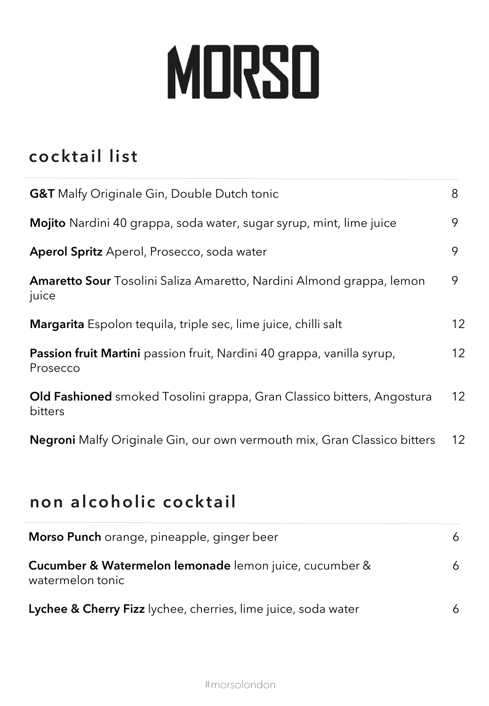## MORSO

## **cocktail list**

| <b>G&amp;T</b> Malfy Originale Gin, Double Dutch tonic                                   |    |  |
|------------------------------------------------------------------------------------------|----|--|
| Mojito Nardini 40 grappa, soda water, sugar syrup, mint, lime juice                      | 9  |  |
| <b>Aperol Spritz</b> Aperol, Prosecco, soda water                                        | 9  |  |
| <b>Amaretto Sour</b> Tosolini Saliza Amaretto, Nardini Almond grappa, lemon<br>juice     | 9  |  |
| Margarita Espolon tequila, triple sec, lime juice, chilli salt                           | 12 |  |
| Passion fruit Martini passion fruit, Nardini 40 grappa, vanilla syrup,<br>Prosecco       | 12 |  |
| <b>Old Fashioned</b> smoked Tosolini grappa, Gran Classico bitters, Angostura<br>bitters | 12 |  |
| <b>Negroni</b> Malfy Originale Gin, our own vermouth mix, Gran Classico bitters          | 12 |  |

## **non alcoholic cocktail**

| Morso Punch orange, pineapple, ginger beer                                            | 6. |
|---------------------------------------------------------------------------------------|----|
| <b>Cucumber &amp; Watermelon lemonade</b> lemon juice, cucumber &<br>watermelon tonic | 6. |
| Lychee & Cherry Fizz lychee, cherries, lime juice, soda water                         |    |